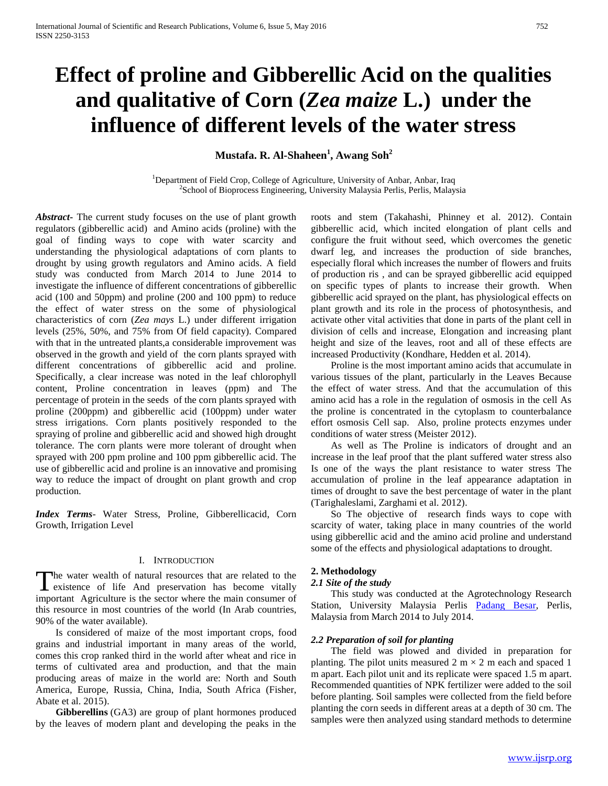# **Effect of proline and Gibberellic Acid on the qualities and qualitative of Corn (***Zea maize* **L.) under the influence of different levels of the water stress**

**Mustafa. R. Al-Shaheen<sup>1</sup> , Awang Soh<sup>2</sup>**

<sup>1</sup>Department of Field Crop, College of Agriculture, University of Anbar, Anbar, Iraq <sup>2</sup>School of Bioprocess Engineering, University Malaysia Perlis, Perlis, Malaysia

*Abstract***-** The current study focuses on the use of plant growth regulators (gibberellic acid) and Amino acids (proline) with the goal of finding ways to cope with water scarcity and understanding the physiological adaptations of corn plants to drought by using growth regulators and Amino acids. A field study was conducted from March 2014 to June 2014 to investigate the influence of different concentrations of gibberellic acid (100 and 50ppm) and proline (200 and 100 ppm) to reduce the effect of water stress on the some of physiological characteristics of corn (*Zea mays* L.) under different irrigation levels (25%, 50%, and 75% from Of field capacity). Compared with that in the untreated plants,a considerable improvement was observed in the growth and yield of the corn plants sprayed with different concentrations of gibberellic acid and proline. Specifically, a clear increase was noted in the leaf chlorophyll content, Proline concentration in leaves (ppm) and The percentage of protein in the seeds of the corn plants sprayed with proline (200ppm) and gibberellic acid (100ppm) under water stress irrigations. Corn plants positively responded to the spraying of proline and gibberellic acid and showed high drought tolerance. The corn plants were more tolerant of drought when sprayed with 200 ppm proline and 100 ppm gibberellic acid. The use of gibberellic acid and proline is an innovative and promising way to reduce the impact of drought on plant growth and crop production.

*Index Terms*- Water Stress, Proline, Gibberellicacid, Corn Growth, Irrigation Level

#### I. INTRODUCTION

he water wealth of natural resources that are related to the The water wealth of natural resources that are related to the existence of life And preservation has become vitally important Agriculture is the sector where the main consumer of this resource in most countries of the world (In Arab countries, 90% of the water available).

 Is considered of maize of the most important crops, food grains and industrial important in many areas of the world, comes this crop ranked third in the world after wheat and rice in terms of cultivated area and production, and that the main producing areas of maize in the world are: North and South America, Europe, Russia, China, India, South Africa (Fisher, Abate et al. 2015).

 **Gibberellins** (GA3) are group of plant hormones produced by the leaves of modern plant and developing the peaks in the roots and stem (Takahashi, Phinney et al. 2012). Contain gibberellic acid, which incited elongation of plant cells and configure the fruit without seed, which overcomes the genetic dwarf leg, and increases the production of side branches, especially floral which increases the number of flowers and fruits of production ris , and can be sprayed gibberellic acid equipped on specific types of plants to increase their growth. When gibberellic acid sprayed on the plant, has physiological effects on plant growth and its role in the process of photosynthesis, and activate other vital activities that done in parts of the plant cell in division of cells and increase, Elongation and increasing plant height and size of the leaves, root and all of these effects are increased Productivity (Kondhare, Hedden et al. 2014).

 Proline is the most important amino acids that accumulate in various tissues of the plant, particularly in the Leaves Because the effect of water stress. And that the accumulation of this amino acid has a role in the regulation of osmosis in the cell As the proline is concentrated in the cytoplasm to counterbalance effort osmosis Cell sap. Also, proline protects enzymes under conditions of water stress (Meister 2012).

 As well as The Proline is indicators of drought and an increase in the leaf proof that the plant suffered water stress also Is one of the ways the plant resistance to water stress The accumulation of proline in the leaf appearance adaptation in times of drought to save the best percentage of water in the plant (Tarighaleslami, Zarghami et al. 2012).

 So The objective of research finds ways to cope with scarcity of water, taking place in many countries of the world using gibberellic acid and the amino acid proline and understand some of the effects and physiological adaptations to drought.

#### **2. Methodology**

#### *2.1 Site of the study*

 This study was conducted at the Agrotechnology Research Station, University Malaysia Perlis [Padang Besar,](https://www.google.com.my/url?sa=t&rct=j&q=&esrc=s&source=web&cd=9&cad=rja&uact=8&ved=0CDkQFjAI&url=https%3A%2F%2Ffoursquare.com%2Fv%2Fstesen-agrotek-unimap%2F4d06dd1e30a58cfa8980ade7&ei=Q2LFU6PeCs6eugT3xoCoAw&usg=AFQjCNEWo0AV9fhRhMkxd36qgsLyBFaF6g&sig2=WO1vdTTLyYxINSfrDN7oig&bvm=bv.70810081,d.c2E) Perlis, Malaysia from March 2014 to July 2014.

#### *2.2 Preparation of soil for planting*

 The field was plowed and divided in preparation for planting. The pilot units measured 2 m  $\times$  2 m each and spaced 1 m apart. Each pilot unit and its replicate were spaced 1.5 m apart. Recommended quantities of NPK fertilizer were added to the soil before planting. Soil samples were collected from the field before planting the corn seeds in different areas at a depth of 30 cm. The samples were then analyzed using standard methods to determine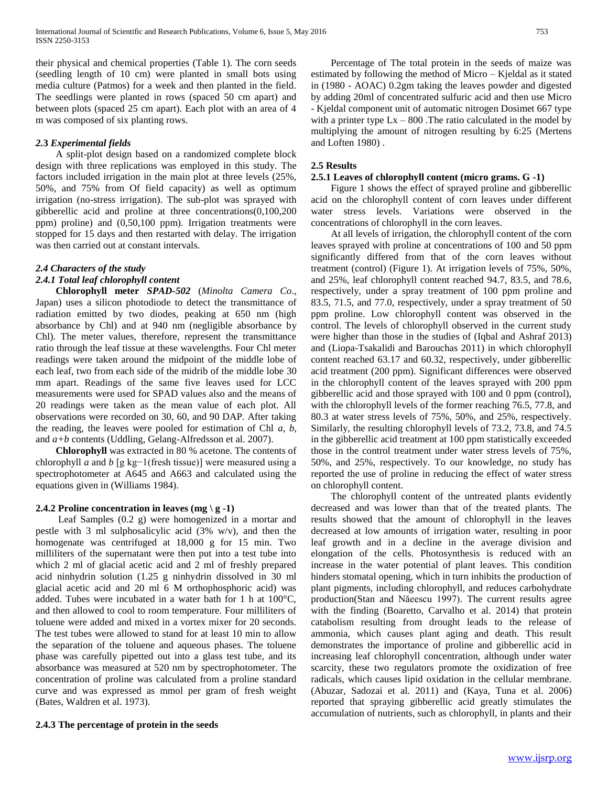their physical and chemical properties (Table 1). The corn seeds (seedling length of 10 cm) were planted in small bots using media culture (Patmos) for a week and then planted in the field. The seedlings were planted in rows (spaced 50 cm apart) and between plots (spaced 25 cm apart). Each plot with an area of 4 m was composed of six planting rows.

# *2.***3** *Experimental fields*

 A split-plot design based on a randomized complete block design with three replications was employed in this study. The factors included irrigation in the main plot at three levels (25%, 50%, and 75% from Of field capacity) as well as optimum irrigation (no-stress irrigation). The sub-plot was sprayed with gibberellic acid and proline at three concentrations(0,100,200 ppm) proline) and (0,50,100 ppm). Irrigation treatments were stopped for 15 days and then restarted with delay. The irrigation was then carried out at constant intervals.

## *2.4 Characters of the study*

## *2.4.1 Total leaf chlorophyll content*

 **Chlorophyll meter** *SPAD-502* (*Minolta Camera Co*., Japan) uses a silicon photodiode to detect the transmittance of radiation emitted by two diodes, peaking at 650 nm (high absorbance by Chl) and at 940 nm (negligible absorbance by Chl). The meter values, therefore, represent the transmittance ratio through the leaf tissue at these wavelengths. Four Chl meter readings were taken around the midpoint of the middle lobe of each leaf, two from each side of the midrib of the middle lobe 30 mm apart. Readings of the same five leaves used for LCC measurements were used for SPAD values also and the means of 20 readings were taken as the mean value of each plot. All observations were recorded on 30, 60, and 90 DAP. After taking the reading, the leaves were pooled for estimation of Chl *a*, *b*, and *a+b* contents (Uddling, Gelang-Alfredsson et al. 2007).

 **Chlorophyll** was extracted in 80 % acetone. The contents of chlorophyll *a* and *b* [g kg−1(fresh tissue)] were measured using a spectrophotometer at A645 and A663 and calculated using the equations given in (Williams 1984).

## **2.4.2 Proline concentration in leaves (mg \ g -1)**

 Leaf Samples (0.2 g) were homogenized in a mortar and pestle with 3 ml sulphosalicylic acid (3% w/v), and then the homogenate was centrifuged at 18,000 g for 15 min. Two milliliters of the supernatant were then put into a test tube into which 2 ml of glacial acetic acid and 2 ml of freshly prepared acid ninhydrin solution (1.25 g ninhydrin dissolved in 30 ml glacial acetic acid and 20 ml 6 M orthophosphoric acid) was added. Tubes were incubated in a water bath for 1 h at 100°C, and then allowed to cool to room temperature. Four milliliters of toluene were added and mixed in a vortex mixer for 20 seconds. The test tubes were allowed to stand for at least 10 min to allow the separation of the toluene and aqueous phases. The toluene phase was carefully pipetted out into a glass test tube, and its absorbance was measured at 520 nm by spectrophotometer. The concentration of proline was calculated from a proline standard curve and was expressed as mmol per gram of fresh weight (Bates, Waldren et al. 1973).

**2.4.3 The percentage of protein in the seeds** 

 Percentage of The total protein in the seeds of maize was estimated by following the method of Micro – Kjeldal as it stated in (1980 - AOAC) 0.2gm taking the leaves powder and digested by adding 20ml of concentrated sulfuric acid and then use Micro - Kjeldal component unit of automatic nitrogen Dosimet 667 type with a printer type  $Lx - 800$ . The ratio calculated in the model by multiplying the amount of nitrogen resulting by 6:25 (Mertens and Loften 1980) .

# **2.5 Results**

## **2.5.1 Leaves of chlorophyll content (micro grams. G -1)**

 Figure 1 shows the effect of sprayed proline and gibberellic acid on the chlorophyll content of corn leaves under different water stress levels. Variations were observed in the concentrations of chlorophyll in the corn leaves.

 At all levels of irrigation, the chlorophyll content of the corn leaves sprayed with proline at concentrations of 100 and 50 ppm significantly differed from that of the corn leaves without treatment (control) (Figure 1). At irrigation levels of 75%, 50%, and 25%, leaf chlorophyll content reached 94.7, 83.5, and 78.6, respectively, under a spray treatment of 100 ppm proline and 83.5, 71.5, and 77.0, respectively, under a spray treatment of 50 ppm proline. Low chlorophyll content was observed in the control. The levels of chlorophyll observed in the current study were higher than those in the studies of (Iqbal and Ashraf 2013) and (Liopa-Tsakalidi and Barouchas 2011) in which chlorophyll content reached 63.17 and 60.32, respectively, under gibberellic acid treatment (200 ppm). Significant differences were observed in the chlorophyll content of the leaves sprayed with 200 ppm gibberellic acid and those sprayed with 100 and 0 ppm (control), with the chlorophyll levels of the former reaching 76.5, 77.8, and 80.3 at water stress levels of 75%, 50%, and 25%, respectively. Similarly, the resulting chlorophyll levels of 73.2, 73.8, and 74.5 in the gibberellic acid treatment at 100 ppm statistically exceeded those in the control treatment under water stress levels of 75%, 50%, and 25%, respectively. To our knowledge, no study has reported the use of proline in reducing the effect of water stress on chlorophyll content.

 The chlorophyll content of the untreated plants evidently decreased and was lower than that of the treated plants. The results showed that the amount of chlorophyll in the leaves decreased at low amounts of irrigation water, resulting in poor leaf growth and in a decline in the average division and elongation of the cells. Photosynthesis is reduced with an increase in the water potential of plant leaves. This condition hinders stomatal opening, which in turn inhibits the production of plant pigments, including chlorophyll, and reduces carbohydrate production(Stan and Năeescu 1997). The current results agree with the finding (Boaretto, Carvalho et al. 2014) that protein catabolism resulting from drought leads to the release of ammonia, which causes plant aging and death. This result demonstrates the importance of proline and gibberellic acid in increasing leaf chlorophyll concentration, although under water scarcity, these two regulators promote the oxidization of free radicals, which causes lipid oxidation in the cellular membrane. (Abuzar, Sadozai et al. 2011) and (Kaya, Tuna et al. 2006) reported that spraying gibberellic acid greatly stimulates the accumulation of nutrients, such as chlorophyll, in plants and their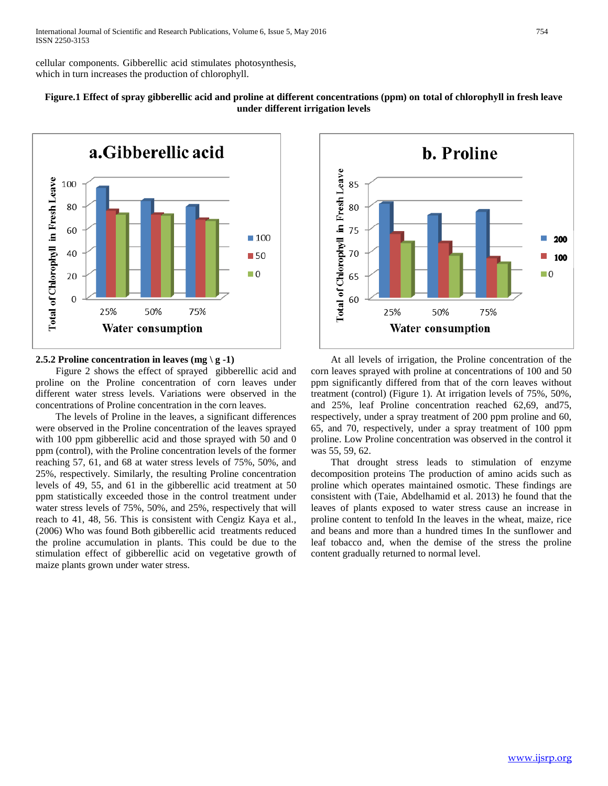cellular components. Gibberellic acid stimulates photosynthesis, which in turn increases the production of chlorophyll.



# **Figure.1 Effect of spray gibberellic acid and proline at different concentrations (ppm) on total of chlorophyll in fresh leave under different irrigation levels**

## **2.5.2 Proline concentration in leaves (mg \ g -1)**

 Figure 2 shows the effect of sprayed gibberellic acid and proline on the Proline concentration of corn leaves under different water stress levels. Variations were observed in the concentrations of Proline concentration in the corn leaves.

 The levels of Proline in the leaves, a significant differences were observed in the Proline concentration of the leaves sprayed with 100 ppm gibberellic acid and those sprayed with 50 and 0 ppm (control), with the Proline concentration levels of the former reaching 57, 61, and 68 at water stress levels of 75%, 50%, and 25%, respectively. Similarly, the resulting Proline concentration levels of 49, 55, and 61 in the gibberellic acid treatment at 50 ppm statistically exceeded those in the control treatment under water stress levels of 75%, 50%, and 25%, respectively that will reach to 41, 48, 56. This is consistent with Cengiz Kaya et al., (2006) Who was found Both gibberellic acid treatments reduced the proline accumulation in plants. This could be due to the stimulation effect of gibberellic acid on vegetative growth of maize plants grown under water stress.



 At all levels of irrigation, the Proline concentration of the corn leaves sprayed with proline at concentrations of 100 and 50 ppm significantly differed from that of the corn leaves without treatment (control) (Figure 1). At irrigation levels of 75%, 50%, and 25%, leaf Proline concentration reached 62,69, and75, respectively, under a spray treatment of 200 ppm proline and 60, 65, and 70, respectively, under a spray treatment of 100 ppm proline. Low Proline concentration was observed in the control it was 55, 59, 62.

 That drought stress leads to stimulation of enzyme decomposition proteins The production of amino acids such as proline which operates maintained osmotic. These findings are consistent with (Taie, Abdelhamid et al. 2013) he found that the leaves of plants exposed to water stress cause an increase in proline content to tenfold In the leaves in the wheat, maize, rice and beans and more than a hundred times In the sunflower and leaf tobacco and, when the demise of the stress the proline content gradually returned to normal level.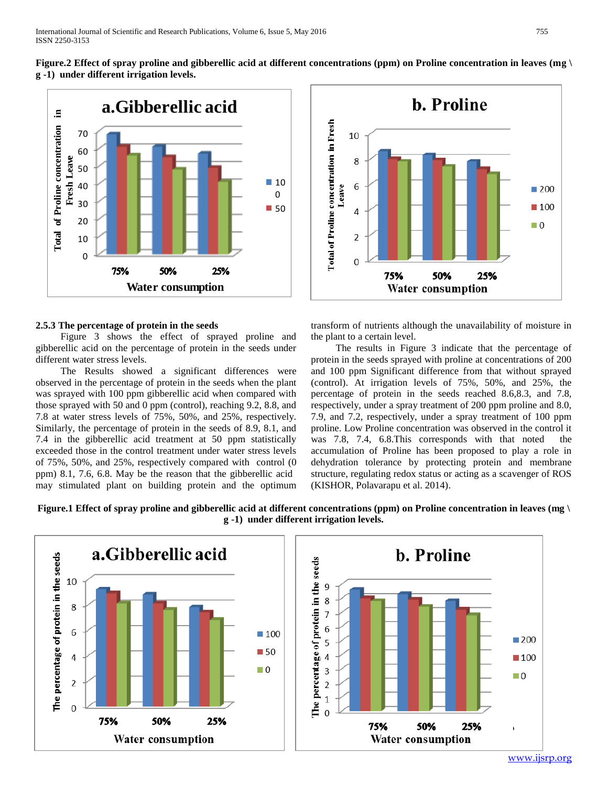**Figure.2 Effect of spray proline and gibberellic acid at different concentrations (ppm) on Proline concentration in leaves (mg \ g -1) under different irrigation levels.**



#### **2.5.3 The percentage of protein in the seeds**

 Figure 3 shows the effect of sprayed proline and gibberellic acid on the percentage of protein in the seeds under different water stress levels.

 The Results showed a significant differences were observed in the percentage of protein in the seeds when the plant was sprayed with 100 ppm gibberellic acid when compared with those sprayed with 50 and 0 ppm (control), reaching 9.2, 8.8, and 7.8 at water stress levels of 75%, 50%, and 25%, respectively. Similarly, the percentage of protein in the seeds of 8.9, 8.1, and 7.4 in the gibberellic acid treatment at 50 ppm statistically exceeded those in the control treatment under water stress levels of 75%, 50%, and 25%, respectively compared with control (0 ppm) 8.1, 7.6, 6.8. May be the reason that the gibberellic acid may stimulated plant on building protein and the optimum



transform of nutrients although the unavailability of moisture in the plant to a certain level.

 The results in Figure 3 indicate that the percentage of protein in the seeds sprayed with proline at concentrations of 200 and 100 ppm Significant difference from that without sprayed (control). At irrigation levels of 75%, 50%, and 25%, the percentage of protein in the seeds reached 8.6,8.3, and 7.8, respectively, under a spray treatment of 200 ppm proline and 8.0, 7.9, and 7.2, respectively, under a spray treatment of 100 ppm proline. Low Proline concentration was observed in the control it was 7.8, 7.4, 6.8.This corresponds with that noted the accumulation of Proline has been proposed to play a role in dehydration tolerance by protecting protein and membrane structure, regulating redox status or acting as a scavenger of ROS (KISHOR, Polavarapu et al. 2014).

**Figure.1 Effect of spray proline and gibberellic acid at different concentrations (ppm) on Proline concentration in leaves (mg \ g -1) under different irrigation levels.**